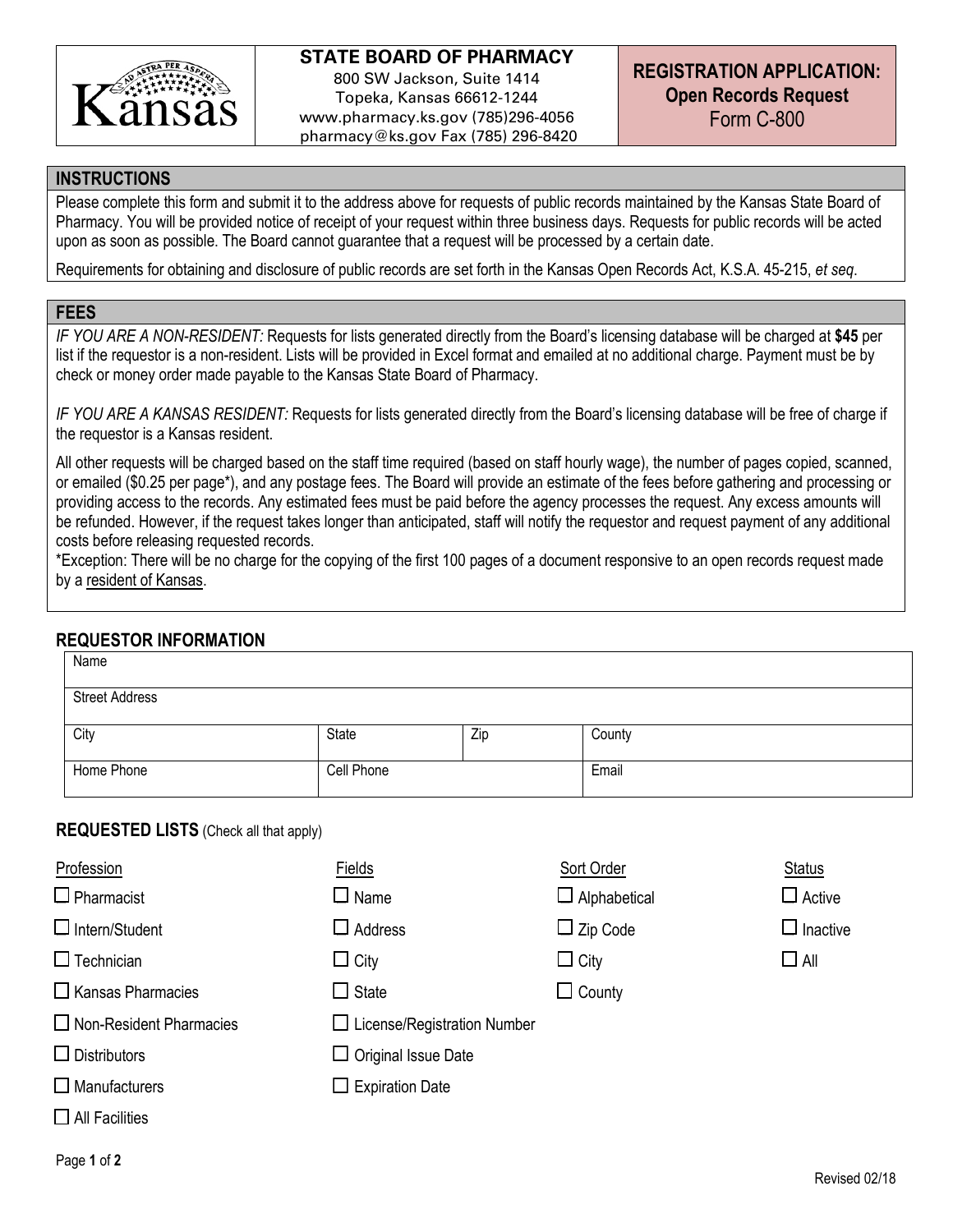

# **STATE BOARD OF PHARMACY**

800 SW Jackson, Suite 1414 Topeka, Kansas 66612-1244 www.pharmacy.ks.gov (785)296-4056 pharmacy@ks.gov Fax (785) 296-8420

#### **INSTRUCTIONS**

Please complete this form and submit it to the address above for requests of public records maintained by the Kansas State Board of Pharmacy. You will be provided notice of receipt of your request within three business days. Requests for public records will be acted upon as soon as possible. The Board cannot guarantee that a request will be processed by a certain date.

Requirements for obtaining and disclosure of public records are set forth in the Kansas Open Records Act, K.S.A. 45-215, *et seq*.

#### **FEES**

*IF YOU ARE A NON-RESIDENT:* Requests for lists generated directly from the Board's licensing database will be charged at **\$45** per list if the requestor is a non-resident. Lists will be provided in Excel format and emailed at no additional charge. Payment must be by check or money order made payable to the Kansas State Board of Pharmacy.

*IF YOU ARE A KANSAS RESIDENT:* Requests for lists generated directly from the Board's licensing database will be free of charge if the requestor is a Kansas resident.

All other requests will be charged based on the staff time required (based on staff hourly wage), the number of pages copied, scanned, or emailed (\$0.25 per page\*), and any postage fees. The Board will provide an estimate of the fees before gathering and processing or providing access to the records. Any estimated fees must be paid before the agency processes the request. Any excess amounts will be refunded. However, if the request takes longer than anticipated, staff will notify the requestor and request payment of any additional costs before releasing requested records.

\*Exception: There will be no charge for the copying of the first 100 pages of a document responsive to an open records request made by a resident of Kansas.

## **REQUESTOR INFORMATION**

| Name                  |            |     |        |
|-----------------------|------------|-----|--------|
| <b>Street Address</b> |            |     |        |
| City                  | State      | Zip | County |
| Home Phone            | Cell Phone |     | Email  |

## **REQUESTED LISTS** (Check all that apply)

| Profession                     | Fields                             | Sort Order          | <b>Status</b>   |  |
|--------------------------------|------------------------------------|---------------------|-----------------|--|
| $\Box$ Pharmacist              | $\sqcup$ Name                      | $\Box$ Alphabetical | $\Box$ Active   |  |
| $\Box$ Intern/Student          | $\square$ Address                  | $\Box$ Zip Code     | $\Box$ Inactive |  |
| $\Box$ Technician              | $\Box$ City                        | $\Box$ City         | $\Box$ All      |  |
| $\Box$ Kansas Pharmacies       | $\Box$ State                       | $\Box$ County       |                 |  |
| $\Box$ Non-Resident Pharmacies | $\Box$ License/Registration Number |                     |                 |  |
| $\Box$ Distributors            | $\Box$ Original Issue Date         |                     |                 |  |
| $\Box$ Manufacturers           | $\Box$ Expiration Date             |                     |                 |  |
| $\Box$ All Facilities          |                                    |                     |                 |  |